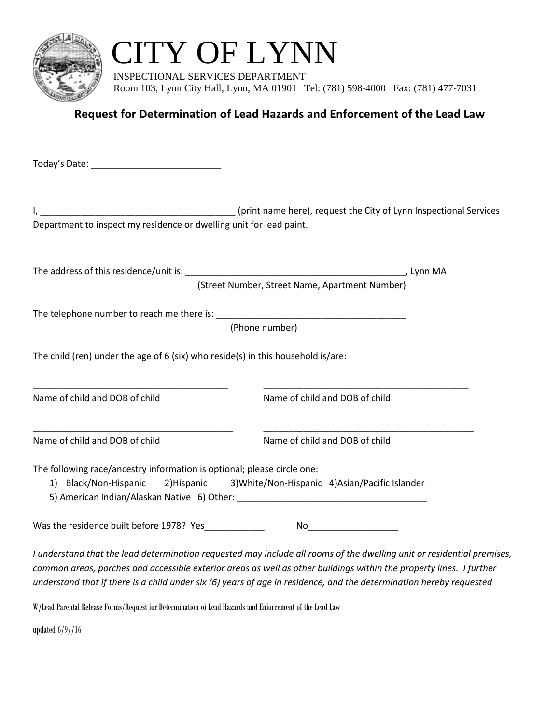

## CITY OF LYNN

 INSPECTIONAL SERVICES DEPARTMENT Room 103, Lynn City Hall, Lynn, MA 01901 Tel: (781) 598-4000 Fax: (781) 477-7031

## **Request for Determination of Lead Hazards and Enforcement of the Lead Law**

Today's Date: \_\_\_\_\_\_\_\_\_\_\_\_\_\_\_\_\_\_\_\_\_\_\_\_\_\_

I, \_\_\_\_\_\_\_\_\_\_\_\_\_\_\_\_\_\_\_\_\_\_\_\_\_\_\_\_\_\_\_\_\_\_\_\_\_\_\_ (print name here), request the City of Lynn Inspectional Services Department to inspect my residence or dwelling unit for lead paint.

The address of this residence/unit is: \_\_\_\_\_\_\_\_\_\_\_\_\_\_\_\_\_\_\_\_\_\_\_\_\_\_\_\_\_\_\_\_\_\_\_\_\_\_\_\_\_\_\_\_, Lynn MA

(Street Number, Street Name, Apartment Number)

The telephone number to reach me there is:

(Phone number)

\_\_\_\_\_\_\_\_\_\_\_\_\_\_\_\_\_\_\_\_\_\_\_\_\_\_\_\_\_\_\_\_\_\_\_\_\_\_\_ \_\_\_\_\_\_\_\_\_\_\_\_\_\_\_\_\_\_\_\_\_\_\_\_\_\_\_\_\_\_\_\_\_\_\_\_\_\_\_\_\_

\_\_\_\_\_\_\_\_\_\_\_\_\_\_\_\_\_\_\_\_\_\_\_\_\_\_\_\_\_\_\_\_\_\_\_\_\_\_\_\_ \_\_\_\_\_\_\_\_\_\_\_\_\_\_\_\_\_\_\_\_\_\_\_\_\_\_\_\_\_\_\_\_\_\_\_\_\_\_\_\_\_\_

The child (ren) under the age of 6 (six) who reside(s) in this household is/are:

Name of child and DOB of child  $\blacksquare$  Name of child and DOB of child

Name of child and DOB of child Name of child and DOB of child

The following race/ancestry information is optional; please circle one:

1) Black/Non-Hispanic 2)Hispanic 3)White/Non-Hispanic 4)Asian/Pacific Islander

5) American Indian/Alaskan Native 6) Other: \_\_\_\_\_\_\_\_\_\_\_\_\_\_\_\_\_\_\_\_\_\_\_\_\_\_\_\_\_\_\_\_\_\_\_\_\_\_

Was the residence built before 1978? Yes\_\_\_\_\_\_\_\_\_\_\_\_ No\_\_\_\_\_\_\_\_\_\_\_\_\_\_\_\_\_\_

*I understand that the lead determination requested may include all rooms of the dwelling unit or residential premises, common areas, porches and accessible exterior areas as well as other buildings within the property lines. I further understand that if there is a child under six (6) years of age in residence, and the determination hereby requested* 

W/Lead Parental Release Forms/Request for Determination of Lead Hazards and Enforcement of the Lead Law

updated 6/9//16